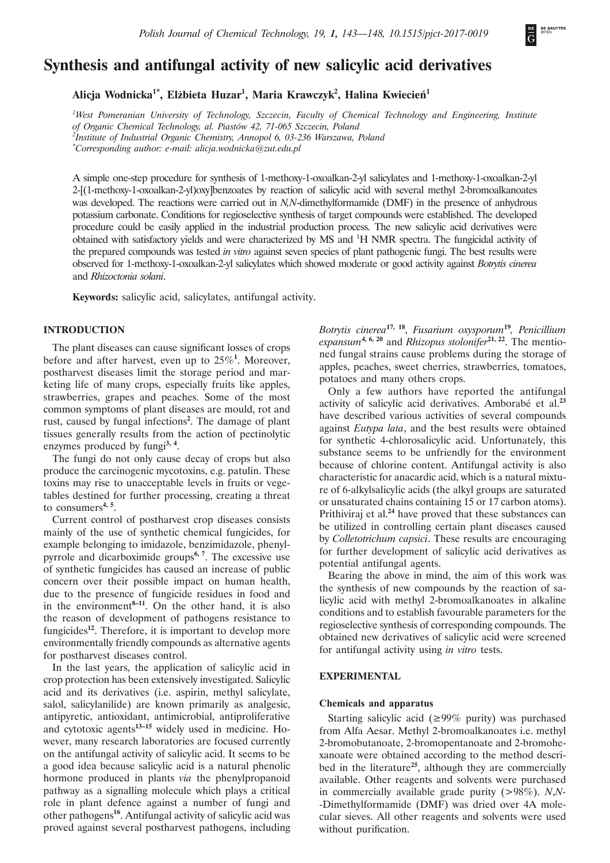# **Synthesis and antifungal activity of new salicylic acid derivatives**

**Alicja Wodnicka1\*, Elżbieta Huzar<sup>1</sup> , Maria Krawczyk<sup>2</sup> , Halina Kwiecień<sup>1</sup>**

*1 West Pomeranian University of Technology, Szczecin, Faculty of Chemical Technology and Engineering, Institute of Organic Chemical Technology, al. Piastów 42, 71-065 Szczecin, Poland 2 Institute of Industrial Organic Chemistry, Annopol 6, 03-236 Warszawa, Poland \* Corresponding author: e-mail: alicja.wodnicka@zut.edu.pl* 

A simple one-step procedure for synthesis of 1-methoxy-1-oxoalkan-2-yl salicylates and 1-methoxy-1-oxoalkan-2-yl 2-[(1-methoxy-1-oxoalkan-2-yl)oxy]benzoates by reaction of salicylic acid with several methyl 2-bromoalkanoates was developed. The reactions were carried out in *N,N*-dimethylformamide (DMF) in the presence of anhydrous potassium carbonate. Conditions for regioselective synthesis of target compounds were established. The developed procedure could be easily applied in the industrial production process. The new salicylic acid derivatives were obtained with satisfactory yields and were characterized by MS and <sup>1</sup>H NMR spectra. The fungicidal activity of the prepared compounds was tested *in vitro* against seven species of plant pathogenic fungi. The best results were observed for 1-methoxy-1-oxoalkan-2-yl salicylates which showed moderate or good activity against *Botrytis cinerea*  and *Rhizoctonia solani*.

**Keywords:** salicylic acid, salicylates, antifungal activity.

# **INTRODUCTION**

The plant diseases can cause significant losses of crops before and after harvest, even up to 25%**<sup>1</sup>** . Moreover, postharvest diseases limit the storage period and marketing life of many crops, especially fruits like apples, strawberries, grapes and peaches. Some of the most common symptoms of plant diseases are mould, rot and rust, caused by fungal infections**<sup>2</sup>** . The damage of plant tissues generally results from the action of pectinolytic enzymes produced by fungi**3, 4**.

The fungi do not only cause decay of crops but also produce the carcinogenic mycotoxins, e.g. patulin. These toxins may rise to unacceptable levels in fruits or vegetables destined for further processing, creating a threat to consumers**4, 5**.

Current control of postharvest crop diseases consists mainly of the use of synthetic chemical fungicides, for example belonging to imidazole, benzimidazole, phenylpyrrole and dicarboximide groups**6, 7**. The excessive use of synthetic fungicides has caused an increase of public concern over their possible impact on human health, due to the presence of fungicide residues in food and in the environment $^{8-11}$ . On the other hand, it is also the reason of development of pathogens resistance to fungicides**<sup>12</sup>**. Therefore, it is important to develop more environmentally friendly compounds as alternative agents for postharvest diseases control.

In the last years, the application of salicylic acid in crop protection has been extensively investigated. Salicylic acid and its derivatives (i.e. aspirin, methyl salicylate, salol, salicylanilide) are known primarily as analgesic, antipyretic, antioxidant, antimicrobial, antiproliferative and cytotoxic agents**13–15** widely used in medicine. However, many research laboratories are focused currently on the antifungal activity of salicylic acid. It seems to be a good idea because salicylic acid is a natural phenolic hormone produced in plants *via* the phenylpropanoid pathway as a signalling molecule which plays a critical role in plant defence against a number of fungi and other pathogens**<sup>16</sup>**. Antifungal activity of salicylic acid was proved against several postharvest pathogens, including *Botrytis cinerea***17, 18**, *Fusarium oxysporum***<sup>19</sup>***, Penicillium expansum***4, 6, 20** and *Rhizopus stolonifer***21, 22**. The mentioned fungal strains cause problems during the storage of apples, peaches, sweet cherries, strawberries, tomatoes, potatoes and many others crops.

Only a few authors have reported the antifungal activity of salicylic acid derivatives. Amborabé et al.**<sup>23</sup>** have described various activities of several compounds against *Eutypa lata*, and the best results were obtained for synthetic 4-chlorosalicylic acid. Unfortunately, this substance seems to be unfriendly for the environment because of chlorine content. Antifungal activity is also characteristic for anacardic acid, which is a natural mixture of 6-alkylsalicylic acids (the alkyl groups are saturated or unsaturated chains containing 15 or 17 carbon atoms). Prithiviraj et al.**<sup>24</sup>** have proved that these substances can be utilized in controlling certain plant diseases caused by *Colletotrichum capsici*. These results are encouraging for further development of salicylic acid derivatives as potential antifungal agents.

Bearing the above in mind, the aim of this work was the synthesis of new compounds by the reaction of salicylic acid with methyl 2-bromoalkanoates in alkaline conditions and to establish favourable parameters for the regioselective synthesis of corresponding compounds. The obtained new derivatives of salicylic acid were screened for antifungal activity using *in vitro* tests.

#### **EXPERIMENTAL**

#### **Chemicals and apparatus**

Starting salicylic acid ( $\geq 99\%$  purity) was purchased from Alfa Aesar. Methyl 2-bromoalkanoates i.e. methyl 2-bromobutanoate, 2-bromopentanoate and 2-bromohexanoate were obtained according to the method described in the literature**<sup>25</sup>**, although they are commercially available. Other reagents and solvents were purchased in commercially available grade purity (>98%). *N*,*N-* -Dimethylformamide (DMF) was dried over 4A molecular sieves. All other reagents and solvents were used without purification.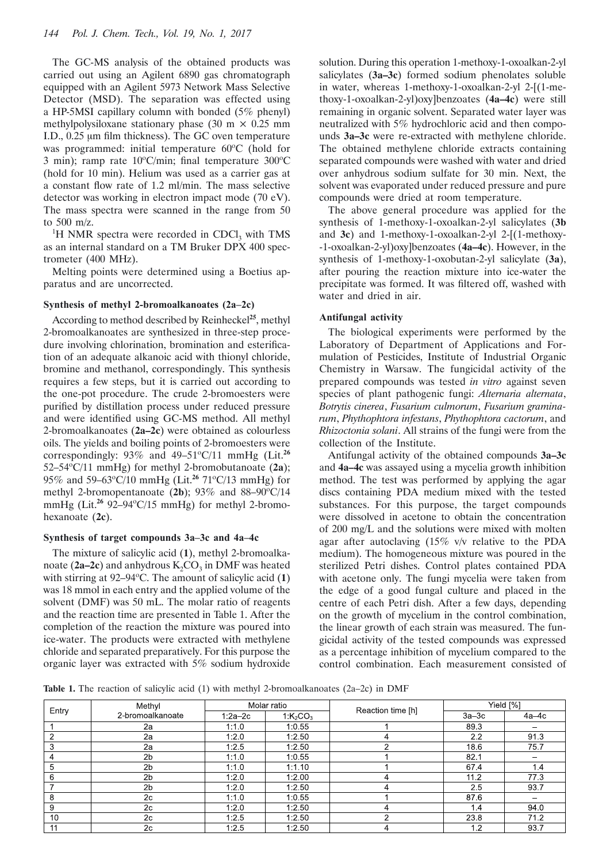The GC-MS analysis of the obtained products was carried out using an Agilent 6890 gas chromatograph equipped with an Agilent 5973 Network Mass Selective Detector (MSD). The separation was effected using a HP-5MSI capillary column with bonded (5% phenyl) methylpolysiloxane stationary phase (30 m  $\times$  0.25 mm I.D.,  $0.25 \mu m$  film thickness). The GC oven temperature was programmed: initial temperature 60°C (hold for 3 min); ramp rate  $10^{\circ}$ C/min; final temperature  $300^{\circ}$ C (hold for 10 min). Helium was used as a carrier gas at a constant flow rate of  $1.2$  ml/min. The mass selective detector was working in electron impact mode (70 eV). The mass spectra were scanned in the range from 50 to 500 m/z.

<sup>1</sup>H NMR spectra were recorded in CDCl<sub>3</sub> with TMS as an internal standard on a TM Bruker DPX 400 spectrometer (400 MHz).

Melting points were determined using a Boetius apparatus and are uncorrected.

## **Synthesis of methyl 2-bromoalkanoates (2a–2c)**

According to method described by Reinheckel**<sup>25</sup>**, methyl 2-bromoalkanoates are synthesized in three-step procedure involving chlorination, bromination and esterification of an adequate alkanoic acid with thionyl chloride, bromine and methanol, correspondingly. This synthesis requires a few steps, but it is carried out according to the one-pot procedure. The crude 2-bromoesters were purified by distillation process under reduced pressure and were identified using GC-MS method. All methyl 2-bromoalkanoates (**2a–2c**) were obtained as colourless oils. The yields and boiling points of 2-bromoesters were correspondingly:  $93\%$  and  $49-51\degree\text{C}/11$  mmHg (Lit.<sup>26</sup>) 52–54°C/11 mmHg) for methyl 2-bromobutanoate (2a); 95% and 59–63°C/10 mmHg (Lit.<sup>26</sup> 71°C/13 mmHg) for methyl 2-bromopentanoate  $(2b)$ ; 93% and 88–90 $\degree$ C/14 mmHg (Lit.<sup>26</sup> 92–94 °C/15 mmHg) for methyl 2-bromohexanoate (**2c**).

## **Synthesis of target compounds 3a–3c and 4a–4c**

The mixture of salicylic acid (**1**), methyl 2-bromoalkanoate ( $2a-2c$ ) and anhydrous  $K_2CO_3$  in DMF was heated with stirring at 92–94°C. The amount of salicylic acid (1) was 18 mmol in each entry and the applied volume of the solvent (DMF) was 50 mL. The molar ratio of reagents and the reaction time are presented in Table 1. After the completion of the reaction the mixture was poured into ice-water. The products were extracted with methylene chloride and separated preparatively. For this purpose the organic layer was extracted with 5% sodium hydroxide

solution. During this operation 1-methoxy-1-oxoalkan-2-yl salicylates (**3a–3c**) formed sodium phenolates soluble in water, whereas 1-methoxy-1-oxoalkan-2-yl 2-[(1-methoxy-1-oxoalkan-2-yl)oxy]benzoates (**4a–4c**) were still remaining in organic solvent. Separated water layer was neutralized with 5% hydrochloric acid and then compounds **3a–3c** were re-extracted with methylene chloride. The obtained methylene chloride extracts containing separated compounds were washed with water and dried over anhydrous sodium sulfate for 30 min. Next, the solvent was evaporated under reduced pressure and pure compounds were dried at room temperature.

The above general procedure was applied for the synthesis of 1-methoxy-1-oxoalkan-2-yl salicylates (**3b** and **3c**) and 1-methoxy-1-oxoalkan-2-yl 2-[(1-methoxy- -1-oxoalkan-2-yl)oxy]benzoates (**4a–4c**). However, in the synthesis of 1-methoxy-1-oxobutan-2-yl salicylate (**3a**), after pouring the reaction mixture into ice-water the precipitate was formed. It was filtered off, washed with water and dried in air.

#### **Antifungal activity**

The biological experiments were performed by the Laboratory of Department of Applications and Formulation of Pesticides, Institute of Industrial Organic Chemistry in Warsaw. The fungicidal activity of the prepared compounds was tested *in vitro* against seven species of plant pathogenic fungi: *Alternaria alternata*, *Botrytis cinerea*, *Fusarium culmorum*, *Fusarium graminarum*, *Phythophtora infestans*, *Phythophtora cactorum*, and *Rhizoctonia solani*. All strains of the fungi were from the collection of the Institute.

Antifungal activity of the obtained compounds **3a–3c**  and **4a–4c** was assayed using a mycelia growth inhibition method. The test was performed by applying the agar discs containing PDA medium mixed with the tested substances. For this purpose, the target compounds were dissolved in acetone to obtain the concentration of 200 mg/L and the solutions were mixed with molten agar after autoclaving (15% v/v relative to the PDA medium). The homogeneous mixture was poured in the sterilized Petri dishes. Control plates contained PDA with acetone only. The fungi mycelia were taken from the edge of a good fungal culture and placed in the centre of each Petri dish. After a few days, depending on the growth of mycelium in the control combination, the linear growth of each strain was measured. The fungicidal activity of the tested compounds was expressed as a percentage inhibition of mycelium compared to the control combination. Each measurement consisted of

**Table 1.** The reaction of salicylic acid (1) with methyl 2-bromoalkanoates (2a–2c) in DMF

| Entry | Methyl           | Molar ratio |                                  |                   | Yield [%] |       |
|-------|------------------|-------------|----------------------------------|-------------------|-----------|-------|
|       | 2-bromoalkanoate | $1:2a-2c$   | 1:K <sub>2</sub> CO <sub>3</sub> | Reaction time [h] | $3a-3c$   | 4а–4с |
|       | 2a               | 1:1.0       | 1:0.55                           |                   | 89.3      |       |
|       | 2a               | 1:2.0       | 1:2.50                           |                   | 2.2       | 91.3  |
| 3     | 2a               | 1:2.5       | 1:2.50                           |                   | 18.6      | 75.7  |
| 4     | 2 <sub>b</sub>   | 1:1.0       | 1:0.55                           |                   | 82.1      |       |
| 5     | 2 <sub>b</sub>   | 1:1.0       | 1:1.10                           |                   | 67.4      | 1.4   |
| 6     | 2 <sub>b</sub>   | 1:2.0       | 1.2.00                           |                   | 11.2      | 77.3  |
|       | 2 <sub>b</sub>   | 1:2.0       | 1:2.50                           |                   | 2.5       | 93.7  |
| 8     | 2c               | 1:1.0       | 1:0.55                           |                   | 87.6      |       |
| 9     | 2c               | 1:2.0       | 1:2.50                           |                   | 1.4       | 94.0  |
| 10    | 2c               | 1:2.5       | 1:2.50                           |                   | 23.8      | 71.2  |
| 11    | 2c               | 1:2.5       | 1:2.50                           |                   | 1.2       | 93.7  |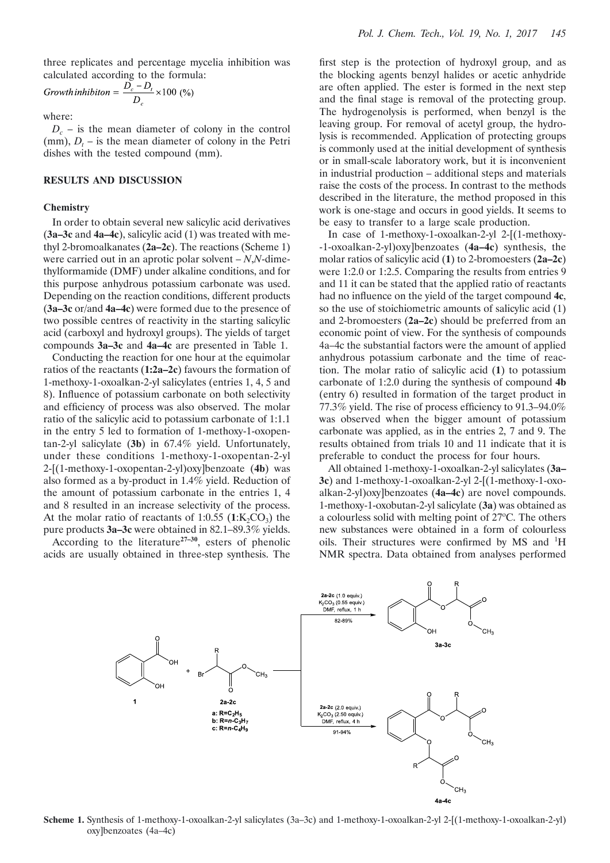three replicates and percentage mycelia inhibition was calculated according to the formula:

$$
Growth inhibition = \frac{D_c - D_t}{D_c} \times 100\,\,(%)
$$

where:

 $D_c$  – is the mean diameter of colony in the control  $(mm)$ ,  $D_t$  – is the mean diameter of colony in the Petri dishes with the tested compound (mm).

## **RESULTS AND DISCUSSION**

# **Chemistry**

In order to obtain several new salicylic acid derivatives (**3a–3c** and **4a–4c**), salicylic acid (1) was treated with methyl 2-bromoalkanates (**2a–2c**). The reactions (Scheme 1) were carried out in an aprotic polar solvent – *N*,*N*-dimethylformamide (DMF) under alkaline conditions, and for this purpose anhydrous potassium carbonate was used. Depending on the reaction conditions, different products (**3a–3c** or/and **4a–4c**) were formed due to the presence of two possible centres of reactivity in the starting salicylic acid (carboxyl and hydroxyl groups). The yields of target compounds **3a–3c** and **4a–4c** are presented in Table 1.

Conducting the reaction for one hour at the equimolar ratios of the reactants (**1:2a–2c**) favours the formation of 1-methoxy-1-oxoalkan-2-yl salicylates (entries 1, 4, 5 and 8). Influence of potassium carbonate on both selectivity and efficiency of process was also observed. The molar ratio of the salicylic acid to potassium carbonate of 1:1.1 in the entry 5 led to formation of 1-methoxy-1-oxopentan-2-yl salicylate (**3b**) in 67.4% yield. Unfortunately, under these conditions 1-methoxy-1-oxopentan-2-yl 2-[(1-methoxy-1-oxopentan-2-yl)oxy]benzoate (**4b**) was also formed as a by-product in 1.4% yield. Reduction of the amount of potassium carbonate in the entries 1, 4 and 8 resulted in an increase selectivity of the process. At the molar ratio of reactants of 1:0.55  $(1:K,CO<sub>3</sub>)$  the pure products **3a–3c** were obtained in 82.1–89.3% yields.

According to the literature**27–30**, esters of phenolic acids are usually obtained in three-step synthesis. The

first step is the protection of hydroxyl group, and as the blocking agents benzyl halides or acetic anhydride are often applied. The ester is formed in the next step and the final stage is removal of the protecting group. The hydrogenolysis is performed, when benzyl is the leaving group. For removal of acetyl group, the hydrolysis is recommended. Application of protecting groups is commonly used at the initial development of synthesis or in small-scale laboratory work, but it is inconvenient in industrial production – additional steps and materials raise the costs of the process. In contrast to the methods described in the literature, the method proposed in this work is one-stage and occurs in good yields. It seems to be easy to transfer to a large scale production.

In case of 1-methoxy-1-oxoalkan-2-yl 2-[(1-methoxy- -1-oxoalkan-2-yl)oxy]benzoates (**4a–4c**) synthesis, the molar ratios of salicylic acid (**1**) to 2-bromoesters (**2a–2c**) were 1:2.0 or 1:2.5. Comparing the results from entries 9 and 11 it can be stated that the applied ratio of reactants had no influence on the yield of the target compound 4c, so the use of stoichiometric amounts of salicylic acid (1) and 2-bromoesters (**2a–2c**) should be preferred from an economic point of view. For the synthesis of compounds 4a–4c the substantial factors were the amount of applied anhydrous potassium carbonate and the time of reaction. The molar ratio of salicylic acid (**1**) to potassium carbonate of 1:2.0 during the synthesis of compound **4b** (entry 6) resulted in formation of the target product in 77.3% yield. The rise of process efficiency to  $91.3-94.0\%$ was observed when the bigger amount of potassium carbonate was applied, as in the entries 2, 7 and 9. The results obtained from trials 10 and 11 indicate that it is preferable to conduct the process for four hours.

All obtained 1-methoxy-1-oxoalkan-2-yl salicylates (**3a– 3c**) and 1-methoxy-1-oxoalkan-2-yl 2-[(1-methoxy-1-oxoalkan-2-yl)oxy]benzoates (**4a–4c**) are novel compounds. 1-methoxy-1-oxobutan-2-yl salicylate (**3a**) was obtained as a colourless solid with melting point of 27°C. The others new substances were obtained in a form of colourless oils. Their structures were confirmed by MS and  ${}^{1}H$ NMR spectra. Data obtained from analyses performed



**Scheme 1.** Synthesis of 1-methoxy-1-oxoalkan-2-yl salicylates (3a–3c) and 1-methoxy-1-oxoalkan-2-yl 2-[(1-methoxy-1-oxoalkan-2-yl) oxy]benzoates (4a–4c)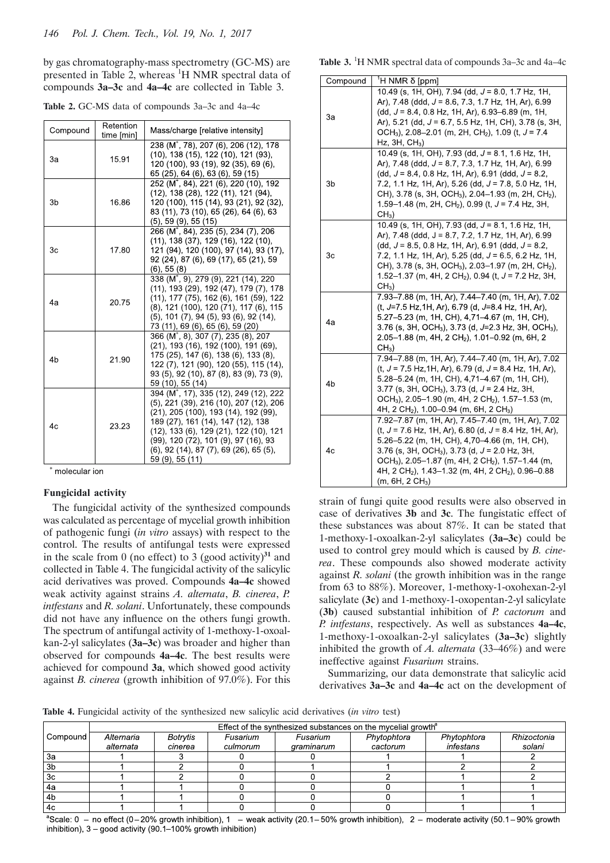by gas chromatography-mass spectrometry (GC-MS) are presented in Table 2, whereas <sup>1</sup>H NMR spectral data of compounds **3a–3c** and **4a–4c** are collected in Table 3.

**Table 2.** GC-MS data of compounds 3a–3c and 4a–4c

| Compound       | Retention<br>time [min] | Mass/charge [relative intensity]                                                                                                                                                                                                                                                                                                        |  |  |
|----------------|-------------------------|-----------------------------------------------------------------------------------------------------------------------------------------------------------------------------------------------------------------------------------------------------------------------------------------------------------------------------------------|--|--|
| За             | 15.91                   | 238 (M <sup>+</sup> , 78), 207 (6), 206 (12), 178<br>(10), 138 (15), 122 (10), 121 (93),<br>120 (100), 93 (19), 92 (35), 69 (6),<br>65 (25), 64 (6), 63 (6), 59 (15)                                                                                                                                                                    |  |  |
| 3b             | 16.86                   | 252 (M <sup>+</sup> , 84), 221 (6), 220 (10), 192<br>(12), 138 (28), 122 (11), 121 (94),<br>120 (100), 115 (14), 93 (21), 92 (32),<br>83 (11), 73 (10), 65 (26), 64 (6), 63<br>(5), 59 (9), 55 (15)                                                                                                                                     |  |  |
| Зc             | 17.80                   | 266 (M <sup>+</sup> , 84), 235 (5), 234 (7), 206<br>(11), 138 (37), 129 (16), 122 (10),<br>121 (94), 120 (100), 97 (14), 93 (17),<br>92 (24), 87 (6), 69 (17), 65 (21), 59<br>(6), 55 (8)                                                                                                                                               |  |  |
| 4a             | 20.75                   | 338 (M <sup>+</sup> , 9), 279 (9), 221 (14), 220<br>(11), 193 (29), 192 (47), 179 (7), 178<br>(11), 177 (75), 162 (6), 161 (59), 122<br>(8), 121 (100), 120 (71), 117 (6), 115<br>$(5)$ , 101 $(7)$ , 94 $(5)$ , 93 $(6)$ , 92 $(14)$ ,<br>73 (11), 69 (6), 65 (6), 59 (20)                                                             |  |  |
| 4 <sub>b</sub> | 21.90                   | $366 (M+, 8)$ , 307 (7), 235 (8), 207<br>(21), 193 (16), 192 (100), 191 (69),<br>175 (25), 147 (6), 138 (6), 133 (8),<br>122 (7), 121 (90), 120 (55), 115 (14),<br>93 (5), 92 (10), 87 (8), 83 (9), 73 (9),<br>59 (10), 55 (14)                                                                                                         |  |  |
| 4c             | 23.23                   | 394 (M <sup>+</sup> , 17), 335 (12), 249 (12), 222<br>(5), 221 (39), 216 (10), 207 (12), 206<br>(21), 205 (100), 193 (14), 192 (99),<br>189 (27), 161 (14), 147 (12), 138<br>(12), 133 (6), 129 (21), 122 (10), 121<br>(99), 120 (72), 101 (9), 97 (16), 93<br>$(6)$ , 92 $(14)$ , 87 $(7)$ , 69 $(26)$ , 65 $(5)$ ,<br>59 (9), 55 (11) |  |  |

molecular ion

# **Fungicidal activity**

The fungicidal activity of the synthesized compounds was calculated as percentage of mycelial growth inhibition of pathogenic fungi (*in vitro* assays) with respect to the control. The results of antifungal tests were expressed in the scale from 0 (no effect) to 3 (good activity)<sup>31</sup> and collected in Table 4. The fungicidal activity of the salicylic acid derivatives was proved. Compounds **4a–4c** showed weak activity against strains *A. alternata*, *B. cinerea*, *P. intfestans* and *R. solani*. Unfortunately, these compounds did not have any influence on the others fungi growth. The spectrum of antifungal activity of 1-methoxy-1-oxoalkan-2-yl salicylates (**3a–3c**) was broader and higher than observed for compounds **4a–4c**. The best results were achieved for compound **3a**, which showed good activity against *B. cinerea* (growth inhibition of 97.0%). For this

Table 3.<sup>1</sup>H NMR spectral data of compounds 3a–3c and 4a–4c

| Compound       | <sup>1</sup> Η NMR δ [ppm]                                                                                                                                                                                                                                                                                                                                                                                     |
|----------------|----------------------------------------------------------------------------------------------------------------------------------------------------------------------------------------------------------------------------------------------------------------------------------------------------------------------------------------------------------------------------------------------------------------|
| 3a             | 10.49 (s, 1H, OH), 7.94 (dd, $J = 8.0$ , 1.7 Hz, 1H,<br>Ar), 7.48 (ddd, $J = 8.6$ , 7.3, 1.7 Hz, 1H, Ar), 6.99<br>(dd, $J = 8.4$ , 0.8 Hz, 1H, Ar), 6.93–6.89 (m, 1H,<br>Ar), 5.21 (dd, J = 6.7, 5.5 Hz, 1H, CH), 3.78 (s, 3H,<br>OCH <sub>3</sub> ), 2.08–2.01 (m, 2H, CH <sub>2</sub> ), 1.09 (t, $J = 7.4$<br>Hz, $3H$ , $CH3$ )                                                                            |
| 3b             | 10.49 (s, 1H, OH), 7.93 (dd, $J = 8.1$ , 1.6 Hz, 1H,<br>Ar), 7.48 (ddd, $J = 8.7$ , 7.3, 1.7 Hz, 1H, Ar), 6.99<br>$(dd, J = 8.4, 0.8 Hz, 1H, Ar), 6.91 (ddd, J = 8.2,$<br>7.2, 1.1 Hz, 1H, Ar), 5.26 (dd, $J = 7.8$ , 5.0 Hz, 1H,<br>CH), 3.78 (s, 3H, OCH <sub>3</sub> ), 2.04–1.93 (m, 2H, CH <sub>2</sub> ),<br>1.59–1.48 (m, 2H, CH <sub>2</sub> ), 0.99 (t, $J = 7.4$ Hz, 3H,<br>$CH3$ )                  |
| 3c             | 10.49 (s, 1H, OH), 7.93 (dd, $J = 8.1$ , 1.6 Hz, 1H,<br>Ar), 7.48 (ddd, J = 8.7, 7.2, 1.7 Hz, 1H, Ar), 6.99<br>(dd, $J = 8.5$ , 0.8 Hz, 1H, Ar), 6.91 (ddd, $J = 8.2$ ,<br>7.2, 1.1 Hz, 1H, Ar), 5.25 (dd, $J = 6.5$ , 6.2 Hz, 1H,<br>CH), 3.78 (s, 3H, OCH <sub>3</sub> ), 2.03–1.97 (m, 2H, CH <sub>2</sub> ),<br>1.52–1.37 (m, 4H, 2 CH <sub>2</sub> ), 0.94 (t, J = 7.2 Hz, 3H,<br>$CH3$ )                 |
| 4a             | 7.93-7.88 (m, 1H, Ar), 7.44-7.40 (m, 1H, Ar), 7.02<br>(t, J=7.5 Hz, 1H, Ar), 6.79 (d, J=8.4 Hz, 1H, Ar),<br>5.27–5.23 (m, 1H, CH), 4,71–4.67 (m, 1H, CH),<br>3.76 (s, 3H, OCH <sub>3</sub> ), 3.73 (d, J=2.3 Hz, 3H, OCH <sub>3</sub> ),<br>2.05-1.88 (m, 4H, 2 CH <sub>2</sub> ), 1.01-0.92 (m, 6H, 2<br>CH <sub>3</sub>                                                                                      |
| 4 <sub>b</sub> | 7.94-7.88 (m, 1H, Ar), 7.44-7.40 (m, 1H, Ar), 7.02<br>(t, $J = 7.5$ Hz, 1H, Ar), 6.79 (d, $J = 8.4$ Hz, 1H, Ar),<br>5.28–5.24 (m, 1H, CH), 4,71–4.67 (m, 1H, CH),<br>3.77 (s, 3H, OCH <sub>3</sub> ), 3.73 (d, J = 2.4 Hz, 3H,<br>OCH <sub>3</sub> ), 2.05–1.90 (m, 4H, 2 CH <sub>2</sub> ), 1.57–1.53 (m,<br>4H, 2 CH <sub>2</sub> ), 1.00–0.94 (m, 6H, 2 CH <sub>3</sub> )                                   |
| 4 <sub>c</sub> | 7.92-7.87 (m, 1H, Ar), 7.45-7.40 (m, 1H, Ar), 7.02<br>$(t, J = 7.6$ Hz, 1H, Ar), 6.80 (d, $J = 8.4$ Hz, 1H, Ar),<br>5.26–5.22 (m, 1H, CH), 4,70–4.66 (m, 1H, CH),<br>3.76 (s, 3H, OCH <sub>3</sub> ), 3.73 (d, $J = 2.0$ Hz, 3H,<br>$OCH3$ ), 2.05–1.87 (m, 4H, 2 CH <sub>2</sub> ), 1.57–1.44 (m,<br>4H, 2 CH <sub>2</sub> ), 1.43–1.32 (m, 4H, 2 CH <sub>2</sub> ), 0.96–0.88<br>(m, 6H, 2 CH <sub>3</sub> ) |

strain of fungi quite good results were also observed in case of derivatives **3b** and **3c**. The fungistatic effect of these substances was about 87%. It can be stated that 1-methoxy-1-oxoalkan-2-yl salicylates (**3a–3c**) could be used to control grey mould which is caused by *B. cinerea*. These compounds also showed moderate activity against *R. solani* (the growth inhibition was in the range from 63 to 88%). Moreover, 1-methoxy-1-oxohexan-2-yl salicylate (**3c**) and 1-methoxy-1-oxopentan-2-yl salicylate (**3b**) caused substantial inhibition of *P. cactorum* and *P. intfestans*, respectively. As well as substances **4a–4c**, 1-methoxy-1-oxoalkan-2-yl salicylates (**3a–3c**) slightly inhibited the growth of *A. alternata* (33–46%) and were ineffective against *Fusarium* strains.

Summarizing, our data demonstrate that salicylic acid derivatives **3a–3c** and **4a–4c** act on the development of

**Table 4.** Fungicidal activity of the synthesized new salicylic acid derivatives (*in vitro* test)

|                | Effect of the synthesized substances on the mycelial growth <sup>a</sup> |                     |                      |                        |                         |                          |                       |  |
|----------------|--------------------------------------------------------------------------|---------------------|----------------------|------------------------|-------------------------|--------------------------|-----------------------|--|
| Compound       | Alternaria<br>alternata                                                  | Botrytis<br>cinerea | Fusarium<br>culmorum | Fusarium<br>graminarum | Phytophtora<br>cactorum | Phytophtora<br>infestans | Rhizoctonia<br>solani |  |
| 3a             |                                                                          |                     |                      |                        |                         |                          |                       |  |
| 3 <sub>b</sub> |                                                                          |                     |                      |                        |                         |                          |                       |  |
| 3 <sub>c</sub> |                                                                          |                     |                      |                        |                         |                          |                       |  |
| 4a             |                                                                          |                     |                      |                        |                         |                          |                       |  |
| 4 <sub>b</sub> |                                                                          |                     |                      |                        |                         |                          |                       |  |
| 4с             |                                                                          |                     |                      |                        |                         |                          |                       |  |

 $^{\circ}$ Scale: 0 - no effect (0-20% growth inhibition), 1 - weak activity (20.1-50% growth inhibition), 2 - moderate activity (50.1-90% growth inhibition),  $3 -$  good activity (90.1–100% growth inhibition)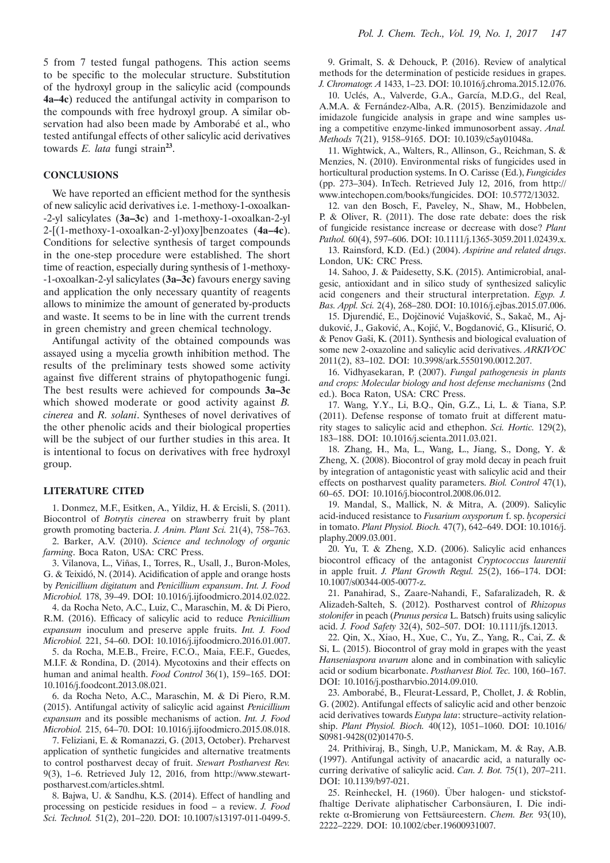## **CONCLUSIONS**

We have reported an efficient method for the synthesis of new salicylic acid derivatives i.e. 1-methoxy-1-oxoalkan- -2-yl salicylates (**3a–3c**) and 1-methoxy-1-oxoalkan-2-yl 2-[(1-methoxy-1-oxoalkan-2-yl)oxy]benzoates (**4a–4c**). Conditions for selective synthesis of target compounds in the one-step procedure were established. The short time of reaction, especially during synthesis of 1-methoxy- -1-oxoalkan-2-yl salicylates (**3a–3c**) favours energy saving and application the only necessary quantity of reagents allows to minimize the amount of generated by-products and waste. It seems to be in line with the current trends in green chemistry and green chemical technology.

Antifungal activity of the obtained compounds was assayed using a mycelia growth inhibition method. The results of the preliminary tests showed some activity against five different strains of phytopathogenic fungi. The best results were achieved for compounds **3a–3c**  which showed moderate or good activity against *B. cinerea* and *R. solani*. Syntheses of novel derivatives of the other phenolic acids and their biological properties will be the subject of our further studies in this area. It is intentional to focus on derivatives with free hydroxyl group.

#### **LITERATURE CITED**

1. Donmez, M.F., Esitken, A., Yildiz, H. & Ercisli, S. (2011). Biocontrol of *Botrytis cinerea* on strawberry fruit by plant growth promoting bacteria. *J. Anim. Plant Sci.* 21(4), 758–763.

2. Barker, A.V. (2010). *Science and technology of organic farming*. Boca Raton, USA: CRC Press.

3. Vilanova, L., Viñas, I., Torres, R., Usall, J., Buron-Moles, G. & Teixidó, N. (2014). Acidification of apple and orange hosts by *Penicillium digitatum* and *Penicillium expansum*. *Int. J. Food Microbiol.* 178, 39–49. DOI: 10.1016/j.ijfoodmicro.2014.02.022.

4. da Rocha Neto, A.C., Luiz, C., Maraschin, M. & Di Piero, R.M. (2016). Efficacy of salicylic acid to reduce *Penicillium expansum* inoculum and preserve apple fruits. *Int. J. Food Microbiol.* 221, 54–60. DOI: 10.1016/j.ijfoodmicro.2016.01.007.

5. da Rocha, M.E.B., Freire, F.C.O., Maia, F.E.F., Guedes, M.I.F. & Rondina, D. (2014). Mycotoxins and their effects on human and animal health. *Food Control* 36(1), 159–165. DOI: 10.1016/j.foodcont.2013.08.021.

6. da Rocha Neto, A.C., Maraschin, M. & Di Piero, R.M. (2015). Antifungal activity of salicylic acid against *Penicillium expansum* and its possible mechanisms of action. *Int. J. Food Microbiol.* 215, 64–70. DOI: 10.1016/j.ijfoodmicro.2015.08.018.

7. Feliziani, E. & Romanazzi, G. (2013, October). Preharvest application of synthetic fungicides and alternative treatments to control postharvest decay of fruit. *Stewart Postharvest Rev.* 9(3), 1–6. Retrieved July 12, 2016, from http://www.stewartpostharvest.com/articles.shtml.

8. Bajwa, U. & Sandhu, K.S. (2014). Effect of handling and processing on pesticide residues in food – a review. *J. Food Sci. Technol.* 51(2), 201–220. DOI: 10.1007/s13197-011-0499-5.

9. Grimalt, S. & Dehouck, P. (2016). Review of analytical methods for the determination of pesticide residues in grapes. *J. Chromatogr. A* 1433, 1–23. DOI: 10.1016/j.chroma.2015.12.076.

10. Uclés, A., Valverde, G.A., García, M.D.G., del Real, A.M.A. & Fernández-Alba, A.R. (2015). Benzimidazole and imidazole fungicide analysis in grape and wine samples using a competitive enzyme-linked immunosorbent assay. *Anal. Methods* 7(21), 9158–9165. DOI: 10.1039/c5ay01048a.

11. Wightwick, A., Walters, R., Allinson, G., Reichman, S. & Menzies, N. (2010). Environmental risks of fungicides used in horticultural production systems. In O. Carisse (Ed.), *Fungicides* (pp. 273–304). InTech. Retrieved July 12, 2016, from http:// www.intechopen.com/books/fungicides. DOI: 10.5772/13032.

12. van den Bosch, F., Paveley, N., Shaw, M., Hobbelen, P. & Oliver, R. (2011). The dose rate debate: does the risk of fungicide resistance increase or decrease with dose? *Plant Pathol.* 60(4), 597–606. DOI: 10.1111/j.1365-3059.2011.02439.x.

13. Rainsford, K.D. (Ed.) (2004). *Aspirine and related drugs*. London, UK: CRC Press.

14. Sahoo, J. & Paidesetty, S.K. (2015). Antimicrobial, analgesic, antioxidant and in silico study of synthesized salicylic acid congeners and their structural interpretation. *Egyp. J. Bas. Appl. Sci.* 2(4), 268–280. DOI: 10.1016/j.ejbas.2015.07.006.

15. Djurendić, E., Dojčinović Vujašković, S., Sakač, M., Ajduković, J., Gaković, A., Kojić, V., Bogdanović, G., Klisurić, O. & Penov Gaši, K. (2011). Synthesis and biological evaluation of some new 2-oxazoline and salicylic acid derivatives. *ARKIVOC* 2011(2), 83–102. DOI: 10.3998/ark.5550190.0012.207.

16. Vidhyasekaran, P. (2007). *Fungal pathogenesis in plants and crops: Molecular biology and host defense mechanisms* (2nd ed.). Boca Raton, USA: CRC Press.

17. Wang, Y.Y., Li, B.Q., Qin, G.Z., Li, L. & Tiana, S.P. (2011). Defense response of tomato fruit at different maturity stages to salicylic acid and ethephon. *Sci. Hortic.* 129(2), 183–188. DOI: 10.1016/j.scienta.2011.03.021.

18. Zhang, H., Ma, L., Wang, L., Jiang, S., Dong, Y. & Zheng, X. (2008). Biocontrol of gray mold decay in peach fruit by integration of antagonistic yeast with salicylic acid and their effects on postharvest quality parameters. *Biol. Control* 47(1), 60–65. DOI: 10.1016/j.biocontrol.2008.06.012.

19. Mandal, S., Mallick, N. & Mitra, A. (2009). Salicylic acid-induced resistance to *Fusarium oxysporum* f. sp. *lycopersici* in tomato. *Plant Physiol. Bioch.* 47(7), 642–649. DOI: 10.1016/j. plaphy.2009.03.001.

20. Yu, T. & Zheng, X.D. (2006). Salicylic acid enhances biocontrol efficacy of the antagonist *Cryptococcus laurentii* in apple fruit. *J. Plant Growth Regul.* 25(2), 166–174. DOI: 10.1007/s00344-005-0077-z.

21. Panahirad, S., Zaare-Nahandi, F., Safaralizadeh, R. & Alizadeh-Salteh, S. (2012). Postharvest control of *Rhizopus stolonifer* in peach (*Prunus persica* L. Batsch) fruits using salicylic acid. *J. Food Safety* 32(4), 502–507. DOI: 10.1111/jfs.12013.

22. Qin, X., Xiao, H., Xue, C., Yu, Z., Yang, R., Cai, Z. & Si, L. (2015). Biocontrol of gray mold in grapes with the yeast *Hanseniaspora uvarum* alone and in combination with salicylic acid or sodium bicarbonate. *Postharvest Biol. Tec.* 100, 160–167. DOI: 10.1016/j.postharvbio.2014.09.010.

23. Amborabé, B., Fleurat-Lessard, P., Chollet, J. & Roblin, G. (2002). Antifungal effects of salicylic acid and other benzoic acid derivatives towards *Eutypa lata*: structure–activity relationship. *Plant Physiol. Bioch.* 40(12), 1051–1060. DOI: 10.1016/ S0981-9428(02)01470-5.

24. Prithiviraj, B., Singh, U.P., Manickam, M. & Ray, A.B. (1997). Antifungal activity of anacardic acid, a naturally occurring derivative of salicylic acid. *Can. J. Bot.* 75(1), 207–211. DOI: 10.1139/b97-021.

25. Reinheckel, H. (1960). Über halogen- und stickstoffhaltige Derivate aliphatischer Carbonsäuren, I. Die indirekte α-Bromierung von Fettsäureestern. *Chem. Ber.* 93(10), 2222–2229. DOI: 10.1002/cber.19600931007.